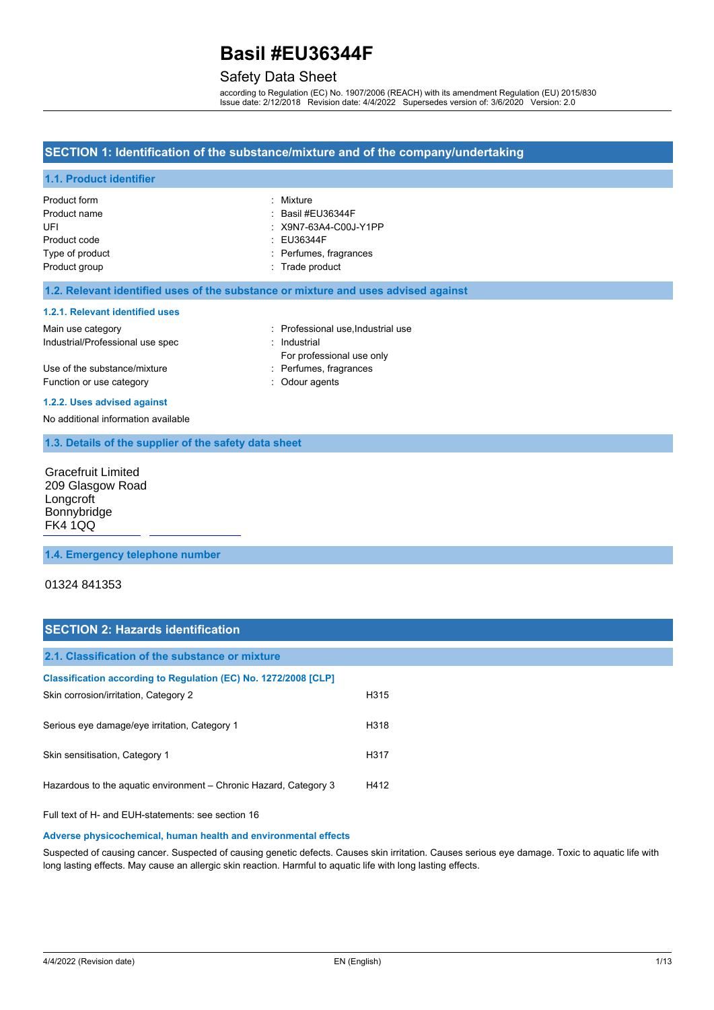## Safety Data Sheet

according to Regulation (EC) No. 1907/2006 (REACH) with its amendment Regulation (EU) 2015/830 Issue date: 2/12/2018 Revision date: 4/4/2022 Supersedes version of: 3/6/2020 Version: 2.0

#### **SECTION 1: Identification of the substance/mixture and of the company/undertaking**

#### **1.1. Product identifier**

| Product form    | : Mixture                    |
|-----------------|------------------------------|
| Product name    | $\therefore$ Basil #EU36344F |
| UFI             | : X9N7-63A4-C00J-Y1PP        |
| Product code    | : EU36344F                   |
| Type of product | : Perfumes, fragrances       |
| Product group   | : Trade product              |

#### **1.2. Relevant identified uses of the substance or mixture and uses advised against**

#### **1.2.1. Relevant identified uses**

| Main use category                | : Professional use Industrial use |
|----------------------------------|-----------------------------------|
| Industrial/Professional use spec | : Industrial                      |
|                                  | For professional use only         |
| Use of the substance/mixture     | : Perfumes, fragrances            |
| Function or use category         | : Odour agents                    |

#### **1.2.2. Uses advised against**

No additional information available

#### **1.3. Details of the supplier of the safety data sheet**

Gracefruit Limited 209 Glasgow Road **Longcroft** Bonnybridge [FK4 1QQ](mailto:SDS@frenchcolor.com)

#### **1.4. Emergency telephone number**

#### 01324 841353

## **SECTION 2: Hazards identification**

| 2.1. Classification of the substance or mixture                   |      |
|-------------------------------------------------------------------|------|
| Classification according to Regulation (EC) No. 1272/2008 [CLP]   |      |
| Skin corrosion/irritation, Category 2                             | H315 |
| Serious eye damage/eye irritation, Category 1                     | H318 |
| Skin sensitisation, Category 1                                    | H317 |
| Hazardous to the aguatic environment – Chronic Hazard, Category 3 | H412 |

Full text of H- and EUH-statements: see section 16

#### **Adverse physicochemical, human health and environmental effects**

Suspected of causing cancer. Suspected of causing genetic defects. Causes skin irritation. Causes serious eye damage. Toxic to aquatic life with long lasting effects. May cause an allergic skin reaction. Harmful to aquatic life with long lasting effects.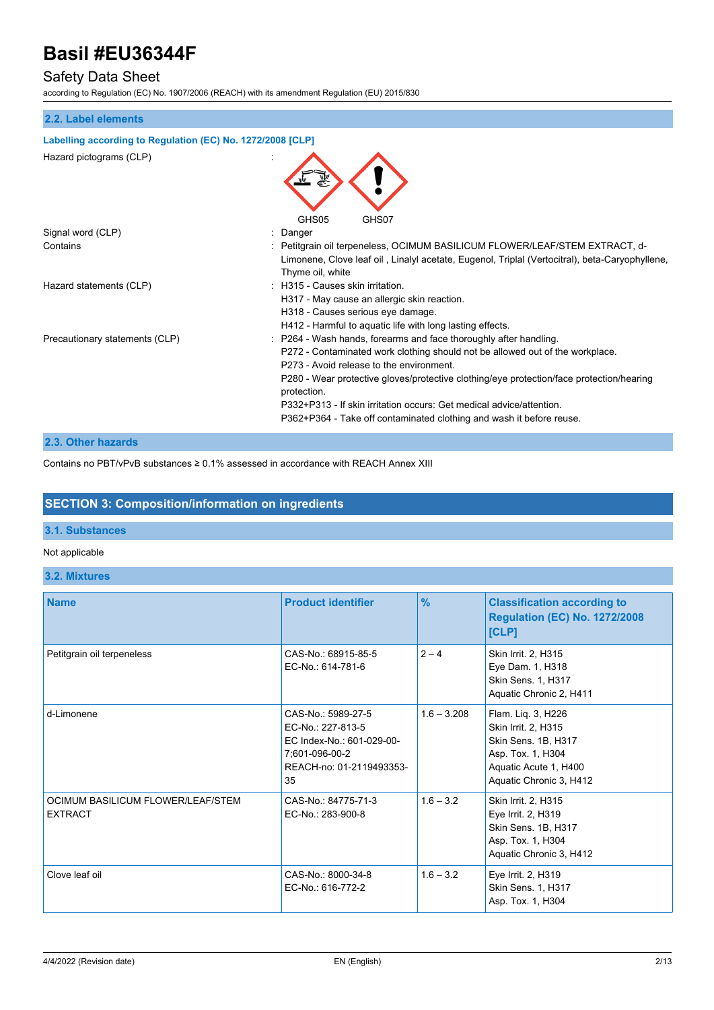## Safety Data Sheet

according to Regulation (EC) No. 1907/2006 (REACH) with its amendment Regulation (EU) 2015/830

## **2.2. Label elements Labelling according to Regulation (EC) No. 1272/2008 [CLP]** Hazard pictograms (CLP) : GHS05 GHS07 Signal word (CLP)  $\qquad \qquad$ : Danger Contains : Petitgrain oil terpeneless, OCIMUM BASILICUM FLOWER/LEAF/STEM EXTRACT, d-Limonene, Clove leaf oil , Linalyl acetate, Eugenol, Triplal (Vertocitral), beta-Caryophyllene, Thyme oil, white Hazard statements (CLP)  $\qquad \qquad$ : H315 - Causes skin irritation. H317 - May cause an allergic skin reaction. H318 - Causes serious eye damage. H412 - Harmful to aquatic life with long lasting effects. Precautionary statements (CLP) : P264 - Wash hands, forearms and face thoroughly after handling. P272 - Contaminated work clothing should not be allowed out of the workplace. P273 - Avoid release to the environment. P280 - Wear protective gloves/protective clothing/eye protection/face protection/hearing protection. P332+P313 - If skin irritation occurs: Get medical advice/attention. P362+P364 - Take off contaminated clothing and wash it before reuse.

#### **2.3. Other hazards**

Contains no PBT/vPvB substances ≥ 0.1% assessed in accordance with REACH Annex XIII

## **SECTION 3: Composition/information on ingredients**

#### **3.1. Substances**

#### Not applicable

**3.2. Mixtures**

| <b>Name</b>                                         | <b>Product identifier</b>                                                                                                | $\frac{9}{6}$ | <b>Classification according to</b><br><b>Regulation (EC) No. 1272/2008</b><br>[CLP]                                                       |
|-----------------------------------------------------|--------------------------------------------------------------------------------------------------------------------------|---------------|-------------------------------------------------------------------------------------------------------------------------------------------|
| Petitgrain oil terpeneless                          | CAS-No.: 68915-85-5<br>EC-No.: 614-781-6                                                                                 | $2 - 4$       | Skin Irrit. 2, H315<br>Eye Dam. 1, H318<br>Skin Sens. 1, H317<br>Aquatic Chronic 2, H411                                                  |
| d-Limonene                                          | CAS-No.: 5989-27-5<br>EC-No.: 227-813-5<br>EC Index-No.: 601-029-00-<br>7:601-096-00-2<br>REACH-no: 01-2119493353-<br>35 | $1.6 - 3.208$ | Flam. Liq. 3, H226<br>Skin Irrit. 2, H315<br>Skin Sens. 1B, H317<br>Asp. Tox. 1, H304<br>Aquatic Acute 1, H400<br>Aquatic Chronic 3, H412 |
| OCIMUM BASILICUM FLOWER/LEAF/STEM<br><b>EXTRACT</b> | CAS-No.: 84775-71-3<br>EC-No.: 283-900-8                                                                                 | $1.6 - 3.2$   | Skin Irrit. 2, H315<br>Eye Irrit. 2, H319<br>Skin Sens. 1B, H317<br>Asp. Tox. 1, H304<br>Aquatic Chronic 3, H412                          |
| Clove leaf oil                                      | CAS-No.: 8000-34-8<br>EC-No.: 616-772-2                                                                                  | $1.6 - 3.2$   | Eye Irrit. 2, H319<br>Skin Sens. 1, H317<br>Asp. Tox. 1, H304                                                                             |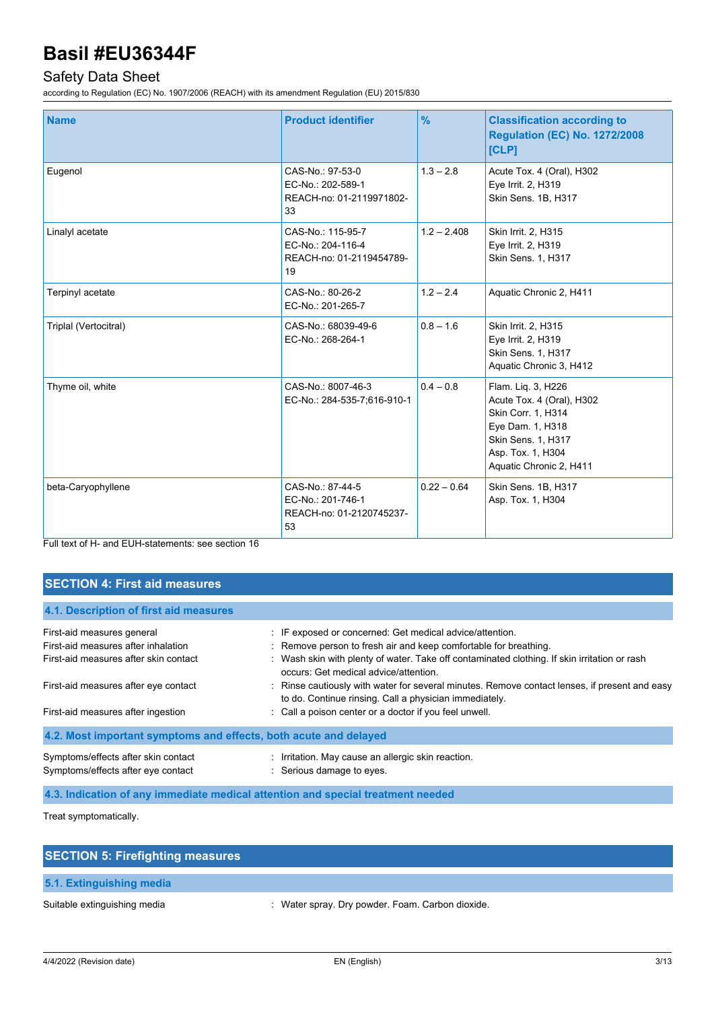## Safety Data Sheet

according to Regulation (EC) No. 1907/2006 (REACH) with its amendment Regulation (EU) 2015/830

| <b>Name</b>           | <b>Product identifier</b>                                                | $\frac{9}{6}$ | <b>Classification according to</b><br><b>Regulation (EC) No. 1272/2008</b><br>[CLP]                                                                             |
|-----------------------|--------------------------------------------------------------------------|---------------|-----------------------------------------------------------------------------------------------------------------------------------------------------------------|
| Eugenol               | CAS-No.: 97-53-0<br>EC-No.: 202-589-1<br>REACH-no: 01-2119971802-<br>33  | $1.3 - 2.8$   | Acute Tox. 4 (Oral), H302<br>Eye Irrit. 2, H319<br>Skin Sens. 1B, H317                                                                                          |
| Linalyl acetate       | CAS-No.: 115-95-7<br>EC-No.: 204-116-4<br>REACH-no: 01-2119454789-<br>19 | $1.2 - 2.408$ | Skin Irrit. 2, H315<br>Eye Irrit. 2, H319<br>Skin Sens. 1, H317                                                                                                 |
| Terpinyl acetate      | CAS-No.: 80-26-2<br>EC-No.: 201-265-7                                    | $1.2 - 2.4$   | Aquatic Chronic 2, H411                                                                                                                                         |
| Triplal (Vertocitral) | CAS-No.: 68039-49-6<br>EC-No.: 268-264-1                                 | $0.8 - 1.6$   | Skin Irrit. 2, H315<br>Eye Irrit. 2, H319<br>Skin Sens. 1, H317<br>Aquatic Chronic 3, H412                                                                      |
| Thyme oil, white      | CAS-No.: 8007-46-3<br>EC-No.: 284-535-7;616-910-1                        | $0.4 - 0.8$   | Flam. Liq. 3, H226<br>Acute Tox. 4 (Oral), H302<br>Skin Corr. 1, H314<br>Eye Dam. 1, H318<br>Skin Sens. 1, H317<br>Asp. Tox. 1, H304<br>Aquatic Chronic 2, H411 |
| beta-Caryophyllene    | CAS-No.: 87-44-5<br>EC-No.: 201-746-1<br>REACH-no: 01-2120745237-<br>53  | $0.22 - 0.64$ | Skin Sens. 1B, H317<br>Asp. Tox. 1, H304                                                                                                                        |

Full text of H- and EUH-statements: see section 16

## **SECTION 4: First aid measures**

| 4.1. Description of first aid measures                                          |                                                                                                                                                         |  |  |
|---------------------------------------------------------------------------------|---------------------------------------------------------------------------------------------------------------------------------------------------------|--|--|
| First-aid measures general                                                      | : IF exposed or concerned: Get medical advice/attention.                                                                                                |  |  |
| First-aid measures after inhalation                                             | : Remove person to fresh air and keep comfortable for breathing.                                                                                        |  |  |
| First-aid measures after skin contact                                           | : Wash skin with plenty of water. Take off contaminated clothing. If skin irritation or rash<br>occurs: Get medical advice/attention.                   |  |  |
| First-aid measures after eye contact                                            | : Rinse cautiously with water for several minutes. Remove contact lenses, if present and easy<br>to do. Continue rinsing. Call a physician immediately. |  |  |
| First-aid measures after ingestion                                              | : Call a poison center or a doctor if you feel unwell.                                                                                                  |  |  |
| 4.2. Most important symptoms and effects, both acute and delayed                |                                                                                                                                                         |  |  |
| Symptoms/effects after skin contact<br>Symptoms/effects after eye contact       | : Irritation. May cause an allergic skin reaction.<br>: Serious damage to eyes.                                                                         |  |  |
| 4.3. Indication of any immediate medical attention and special treatment needed |                                                                                                                                                         |  |  |

Treat symptomatically.

| <b>SECTION 5: Firefighting measures</b> |                                                  |
|-----------------------------------------|--------------------------------------------------|
| 5.1. Extinguishing media                |                                                  |
| Suitable extinguishing media            | : Water spray. Dry powder. Foam. Carbon dioxide. |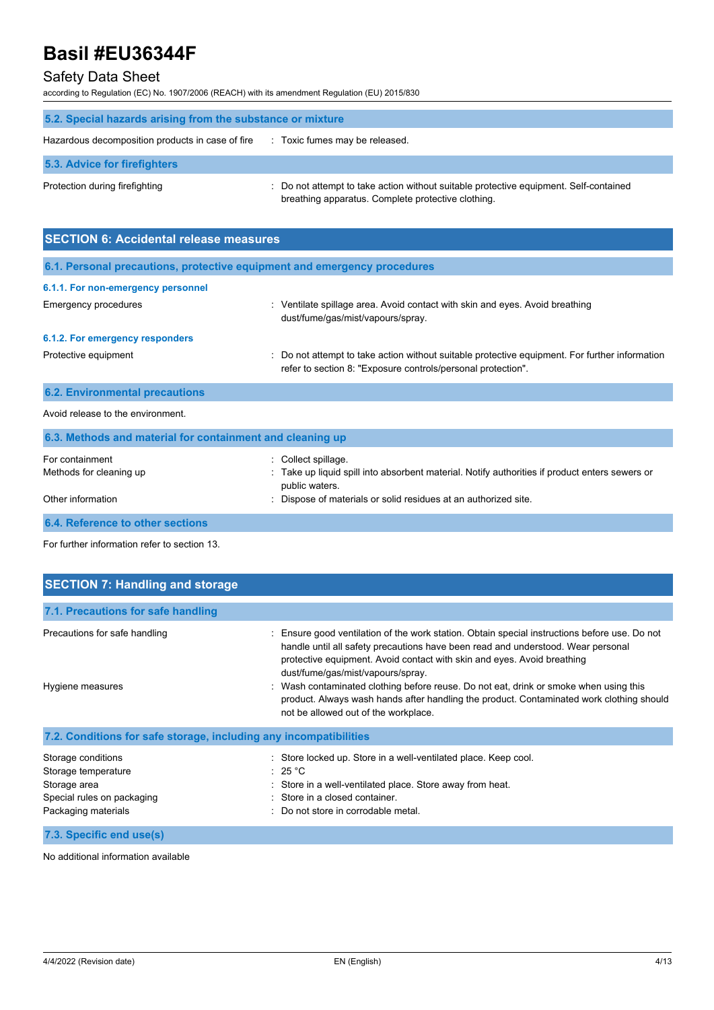## Safety Data Sheet

according to Regulation (EC) No. 1907/2006 (REACH) with its amendment Regulation (EU) 2015/830

| 5.2. Special hazards arising from the substance or mixture |                                                                                                                                             |  |  |
|------------------------------------------------------------|---------------------------------------------------------------------------------------------------------------------------------------------|--|--|
| Hazardous decomposition products in case of fire           | : Toxic fumes may be released.                                                                                                              |  |  |
| 5.3. Advice for firefighters                               |                                                                                                                                             |  |  |
| Protection during firefighting                             | : Do not attempt to take action without suitable protective equipment. Self-contained<br>breathing apparatus. Complete protective clothing. |  |  |

| <b>SECTION 6: Accidental release measures</b>                            |                                                                                                                                                                |  |  |  |
|--------------------------------------------------------------------------|----------------------------------------------------------------------------------------------------------------------------------------------------------------|--|--|--|
| 6.1. Personal precautions, protective equipment and emergency procedures |                                                                                                                                                                |  |  |  |
| 6.1.1. For non-emergency personnel                                       |                                                                                                                                                                |  |  |  |
| Emergency procedures                                                     | : Ventilate spillage area. Avoid contact with skin and eyes. Avoid breathing<br>dust/fume/gas/mist/vapours/spray.                                              |  |  |  |
| 6.1.2. For emergency responders                                          |                                                                                                                                                                |  |  |  |
| Protective equipment                                                     | : Do not attempt to take action without suitable protective equipment. For further information<br>refer to section 8: "Exposure controls/personal protection". |  |  |  |
| <b>6.2. Environmental precautions</b>                                    |                                                                                                                                                                |  |  |  |
| Avoid release to the environment.                                        |                                                                                                                                                                |  |  |  |
| 6.3. Methods and material for containment and cleaning up                |                                                                                                                                                                |  |  |  |
| For containment<br>Methods for cleaning up                               | : Collect spillage.<br>Take up liquid spill into absorbent material. Notify authorities if product enters sewers or<br>public waters.                          |  |  |  |
| Other information                                                        | Dispose of materials or solid residues at an authorized site.                                                                                                  |  |  |  |

**6.4. Reference to other sections**

For further information refer to section 13.

| <b>SECTION 7: Handling and storage</b>                                                                         |                                                                                                                                                                                                                                                                                                                                                                                                                                                                                                                                |
|----------------------------------------------------------------------------------------------------------------|--------------------------------------------------------------------------------------------------------------------------------------------------------------------------------------------------------------------------------------------------------------------------------------------------------------------------------------------------------------------------------------------------------------------------------------------------------------------------------------------------------------------------------|
| 7.1. Precautions for safe handling                                                                             |                                                                                                                                                                                                                                                                                                                                                                                                                                                                                                                                |
| Precautions for safe handling<br>Hygiene measures                                                              | : Ensure good ventilation of the work station. Obtain special instructions before use. Do not<br>handle until all safety precautions have been read and understood. Wear personal<br>protective equipment. Avoid contact with skin and eyes. Avoid breathing<br>dust/fume/gas/mist/vapours/spray.<br>: Wash contaminated clothing before reuse. Do not eat, drink or smoke when using this<br>product. Always wash hands after handling the product. Contaminated work clothing should<br>not be allowed out of the workplace. |
| 7.2. Conditions for safe storage, including any incompatibilities                                              |                                                                                                                                                                                                                                                                                                                                                                                                                                                                                                                                |
| Storage conditions<br>Storage temperature<br>Storage area<br>Special rules on packaging<br>Packaging materials | : Store locked up. Store in a well-ventilated place. Keep cool.<br>: 25 °C<br>Store in a well-ventilated place. Store away from heat.<br>: Store in a closed container.<br>: Do not store in corrodable metal.                                                                                                                                                                                                                                                                                                                 |
| 7.3. Specific end use(s)                                                                                       |                                                                                                                                                                                                                                                                                                                                                                                                                                                                                                                                |

No additional information available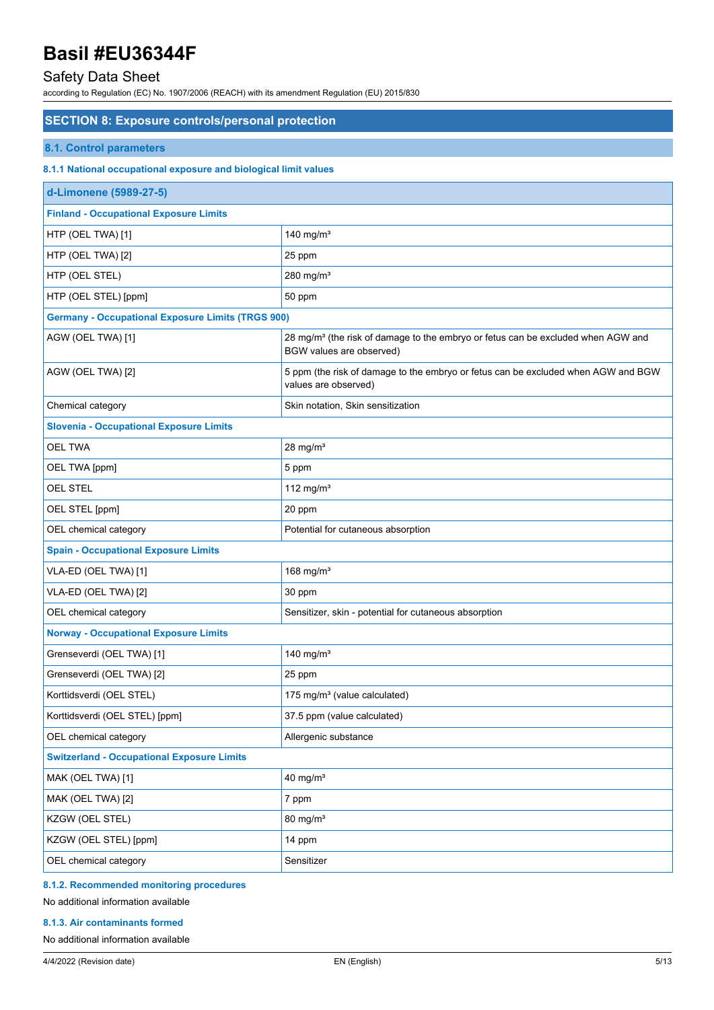## Safety Data Sheet

according to Regulation (EC) No. 1907/2006 (REACH) with its amendment Regulation (EU) 2015/830

### **SECTION 8: Exposure controls/personal protection**

### **8.1. Control parameters**

#### **8.1.1 National occupational exposure and biological limit values**

| d-Limonene (5989-27-5)                                   |                                                                                                                          |  |  |
|----------------------------------------------------------|--------------------------------------------------------------------------------------------------------------------------|--|--|
| <b>Finland - Occupational Exposure Limits</b>            |                                                                                                                          |  |  |
| HTP (OEL TWA) [1]                                        | 140 mg/ $m3$                                                                                                             |  |  |
| HTP (OEL TWA) [2]                                        | 25 ppm                                                                                                                   |  |  |
| HTP (OEL STEL)                                           | 280 mg/ $m3$                                                                                                             |  |  |
| HTP (OEL STEL) [ppm]                                     | 50 ppm                                                                                                                   |  |  |
| <b>Germany - Occupational Exposure Limits (TRGS 900)</b> |                                                                                                                          |  |  |
| AGW (OEL TWA) [1]                                        | 28 mg/m <sup>3</sup> (the risk of damage to the embryo or fetus can be excluded when AGW and<br>BGW values are observed) |  |  |
| AGW (OEL TWA) [2]                                        | 5 ppm (the risk of damage to the embryo or fetus can be excluded when AGW and BGW<br>values are observed)                |  |  |
| Chemical category                                        | Skin notation, Skin sensitization                                                                                        |  |  |
| <b>Slovenia - Occupational Exposure Limits</b>           |                                                                                                                          |  |  |
| <b>OEL TWA</b>                                           | $28$ mg/m <sup>3</sup>                                                                                                   |  |  |
| OEL TWA [ppm]                                            | 5 ppm                                                                                                                    |  |  |
| <b>OEL STEL</b>                                          | 112 mg/m $3$                                                                                                             |  |  |
| OEL STEL [ppm]                                           | 20 ppm                                                                                                                   |  |  |
| OEL chemical category                                    | Potential for cutaneous absorption                                                                                       |  |  |
| <b>Spain - Occupational Exposure Limits</b>              |                                                                                                                          |  |  |
| VLA-ED (OEL TWA) [1]                                     | 168 mg/ $m3$                                                                                                             |  |  |
| VLA-ED (OEL TWA) [2]                                     | 30 ppm                                                                                                                   |  |  |
| OEL chemical category                                    | Sensitizer, skin - potential for cutaneous absorption                                                                    |  |  |
| <b>Norway - Occupational Exposure Limits</b>             |                                                                                                                          |  |  |
| Grenseverdi (OEL TWA) [1]                                | 140 mg/ $m3$                                                                                                             |  |  |
| Grenseverdi (OEL TWA) [2]                                | 25 ppm                                                                                                                   |  |  |
| Korttidsverdi (OEL STEL)                                 | 175 mg/m <sup>3</sup> (value calculated)                                                                                 |  |  |
| Korttidsverdi (OEL STEL) [ppm]                           | 37.5 ppm (value calculated)                                                                                              |  |  |
| OEL chemical category                                    | Allergenic substance                                                                                                     |  |  |
| <b>Switzerland - Occupational Exposure Limits</b>        |                                                                                                                          |  |  |
| MAK (OEL TWA) [1]                                        | 40 mg/ $m3$                                                                                                              |  |  |
| MAK (OEL TWA) [2]                                        | 7 ppm                                                                                                                    |  |  |
| KZGW (OEL STEL)                                          | 80 mg/m <sup>3</sup>                                                                                                     |  |  |
| KZGW (OEL STEL) [ppm]                                    | 14 ppm                                                                                                                   |  |  |
| OEL chemical category                                    | Sensitizer                                                                                                               |  |  |

## **8.1.2. Recommended monitoring procedures**

## No additional information available

#### **8.1.3. Air contaminants formed**

#### No additional information available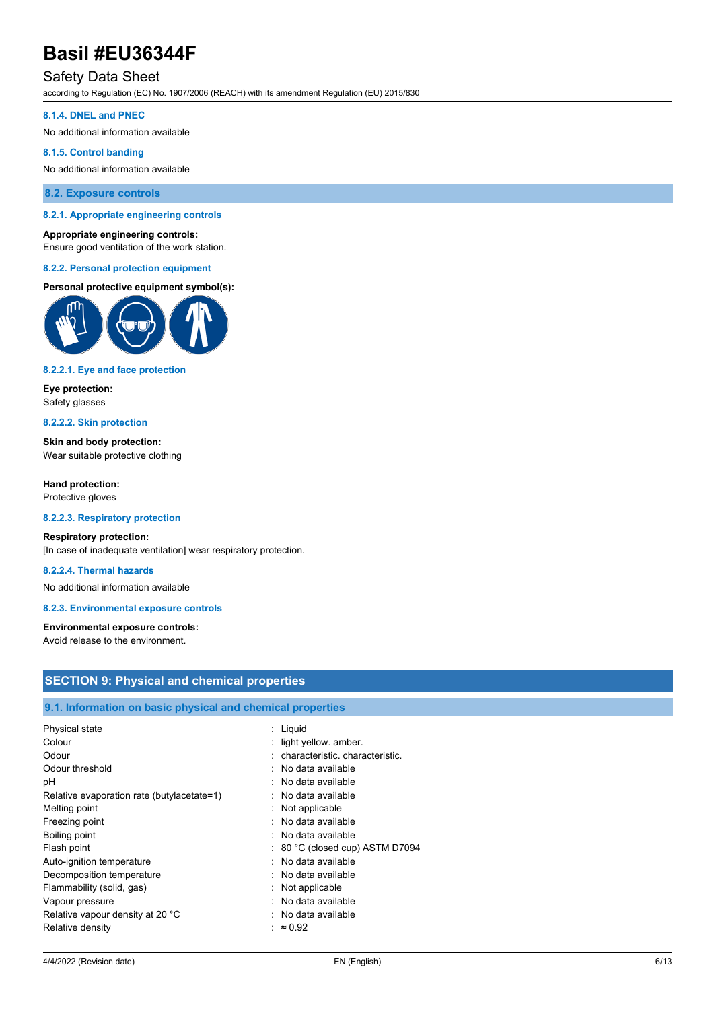## Safety Data Sheet

according to Regulation (EC) No. 1907/2006 (REACH) with its amendment Regulation (EU) 2015/830

#### **8.1.4. DNEL and PNEC**

No additional information available

#### **8.1.5. Control banding**

No additional information available

**8.2. Exposure controls**

#### **8.2.1. Appropriate engineering controls**

#### **Appropriate engineering controls:**

Ensure good ventilation of the work station.

#### **8.2.2. Personal protection equipment**

#### **Personal protective equipment symbol(s):**



#### **8.2.2.1. Eye and face protection**

**Eye protection:** Safety glasses

#### **8.2.2.2. Skin protection**

**Skin and body protection:** Wear suitable protective clothing

**Hand protection:** Protective gloves

#### **8.2.2.3. Respiratory protection**

#### **Respiratory protection:**

[In case of inadequate ventilation] wear respiratory protection.

#### **8.2.2.4. Thermal hazards**

No additional information available

#### **8.2.3. Environmental exposure controls**

#### **Environmental exposure controls:** Avoid release to the environment.

## **SECTION 9: Physical and chemical properties**

### **9.1. Information on basic physical and chemical properties**

| Physical state                             | : Liquid                         |
|--------------------------------------------|----------------------------------|
| Colour                                     | : light yellow. amber.           |
| Odour                                      | : characteristic characteristic. |
| Odour threshold                            | : No data available              |
| рH                                         | $:$ No data available            |
| Relative evaporation rate (butylacetate=1) | : No data available              |
| Melting point                              | $:$ Not applicable               |
| Freezing point                             | : No data available              |
| Boiling point                              | : No data available              |
| Flash point                                | : 80 °C (closed cup) ASTM D7094  |
| Auto-ignition temperature                  | : No data available              |
| Decomposition temperature                  | : No data available              |
| Flammability (solid, gas)                  | $:$ Not applicable               |
| Vapour pressure                            | : No data available              |
| Relative vapour density at 20 °C           | : No data available              |
| Relative density                           | : $\approx 0.92$                 |
|                                            |                                  |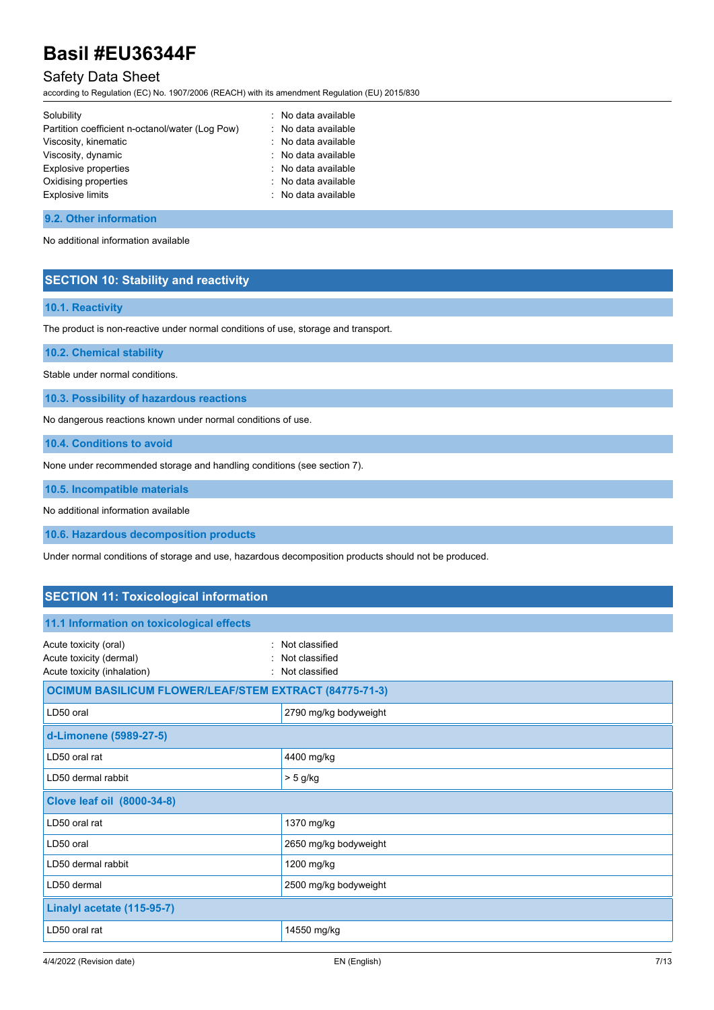## Safety Data Sheet

according to Regulation (EC) No. 1907/2006 (REACH) with its amendment Regulation (EU) 2015/830

| Solubility                                      | : No data available |
|-------------------------------------------------|---------------------|
| Partition coefficient n-octanol/water (Log Pow) | : No data available |
| Viscosity, kinematic                            | : No data available |
| Viscosity, dynamic                              | : No data available |
| Explosive properties                            | : No data available |
| Oxidising properties                            | : No data available |
| <b>Explosive limits</b>                         | : No data available |
|                                                 |                     |

### **9.2. Other information**

No additional information available

## **SECTION 10: Stability and reactivity**

## **10.1. Reactivity**

The product is non-reactive under normal conditions of use, storage and transport.

**10.2. Chemical stability**

Stable under normal conditions.

**10.3. Possibility of hazardous reactions**

No dangerous reactions known under normal conditions of use.

**10.4. Conditions to avoid**

None under recommended storage and handling conditions (see section 7).

**10.5. Incompatible materials**

No additional information available

**10.6. Hazardous decomposition products**

Under normal conditions of storage and use, hazardous decomposition products should not be produced.

## **SECTION 11: Toxicological information**

| 11.1 Information on toxicological effects                                       |                                                      |  |
|---------------------------------------------------------------------------------|------------------------------------------------------|--|
| Acute toxicity (oral)<br>Acute toxicity (dermal)<br>Acute toxicity (inhalation) | Not classified<br>Not classified<br>: Not classified |  |
| <b>OCIMUM BASILICUM FLOWER/LEAF/STEM EXTRACT (84775-71-3)</b>                   |                                                      |  |
| LD50 oral                                                                       | 2790 mg/kg bodyweight                                |  |
| d-Limonene (5989-27-5)                                                          |                                                      |  |
| LD50 oral rat                                                                   | 4400 mg/kg                                           |  |
| LD50 dermal rabbit                                                              | $> 5$ g/kg                                           |  |
| Clove leaf oil (8000-34-8)                                                      |                                                      |  |
| LD50 oral rat                                                                   | 1370 mg/kg                                           |  |
| LD50 oral                                                                       | 2650 mg/kg bodyweight                                |  |
| LD50 dermal rabbit                                                              | 1200 mg/kg                                           |  |
| LD50 dermal                                                                     | 2500 mg/kg bodyweight                                |  |
| Linalyl acetate (115-95-7)                                                      |                                                      |  |
| LD50 oral rat                                                                   | 14550 mg/kg                                          |  |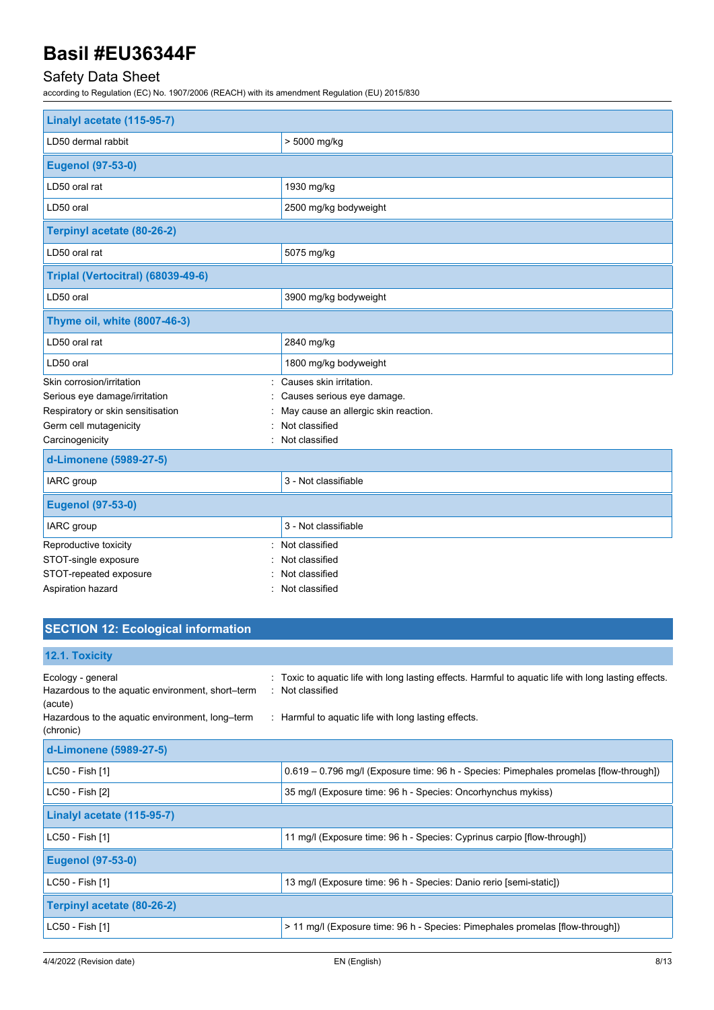## Safety Data Sheet

according to Regulation (EC) No. 1907/2006 (REACH) with its amendment Regulation (EU) 2015/830

| Linalyl acetate (115-95-7)         |                                      |  |
|------------------------------------|--------------------------------------|--|
| LD50 dermal rabbit                 | > 5000 mg/kg                         |  |
| <b>Eugenol (97-53-0)</b>           |                                      |  |
| LD50 oral rat                      | 1930 mg/kg                           |  |
| LD50 oral                          | 2500 mg/kg bodyweight                |  |
| Terpinyl acetate (80-26-2)         |                                      |  |
| LD50 oral rat                      | 5075 mg/kg                           |  |
| Triplal (Vertocitral) (68039-49-6) |                                      |  |
| LD50 oral                          | 3900 mg/kg bodyweight                |  |
| Thyme oil, white (8007-46-3)       |                                      |  |
| LD50 oral rat                      | 2840 mg/kg                           |  |
| LD50 oral                          | 1800 mg/kg bodyweight                |  |
| Skin corrosion/irritation          | Causes skin irritation.              |  |
| Serious eye damage/irritation      | Causes serious eye damage.           |  |
| Respiratory or skin sensitisation  | May cause an allergic skin reaction. |  |
| Germ cell mutagenicity             | Not classified                       |  |
| Carcinogenicity                    | : Not classified                     |  |
| d-Limonene (5989-27-5)             |                                      |  |
| IARC group                         | 3 - Not classifiable                 |  |
| <b>Eugenol (97-53-0)</b>           |                                      |  |
| IARC group                         | 3 - Not classifiable                 |  |
| Reproductive toxicity              | : Not classified                     |  |
| STOT-single exposure               | Not classified                       |  |
| STOT-repeated exposure             | Not classified                       |  |
| Aspiration hazard                  | Not classified                       |  |

## **SECTION 12: Ecological information**

## **12.1. Toxicity**

| Ecology - general<br>Hazardous to the aquatic environment, short-term<br>(acute)<br>Hazardous to the aquatic environment, long-term<br>(chronic) | : Toxic to aquatic life with long lasting effects. Harmful to aquatic life with long lasting effects.<br>: Not classified<br>: Harmful to aquatic life with long lasting effects. |
|--------------------------------------------------------------------------------------------------------------------------------------------------|-----------------------------------------------------------------------------------------------------------------------------------------------------------------------------------|
| d-Limonene (5989-27-5)                                                                                                                           |                                                                                                                                                                                   |
| LC50 - Fish [1]                                                                                                                                  | 0.619 - 0.796 mg/l (Exposure time: 96 h - Species: Pimephales promelas [flow-through])                                                                                            |
| LC50 - Fish [2]                                                                                                                                  | 35 mg/l (Exposure time: 96 h - Species: Oncorhynchus mykiss)                                                                                                                      |
| Linalyl acetate (115-95-7)                                                                                                                       |                                                                                                                                                                                   |
| LC50 - Fish [1]                                                                                                                                  | 11 mg/l (Exposure time: 96 h - Species: Cyprinus carpio [flow-through])                                                                                                           |
| <b>Eugenol (97-53-0)</b>                                                                                                                         |                                                                                                                                                                                   |
| LC50 - Fish [1]                                                                                                                                  | 13 mg/l (Exposure time: 96 h - Species: Danio rerio [semi-static])                                                                                                                |
| Terpinyl acetate (80-26-2)                                                                                                                       |                                                                                                                                                                                   |
| LC50 - Fish [1]                                                                                                                                  | > 11 mg/l (Exposure time: 96 h - Species: Pimephales promelas [flow-through])                                                                                                     |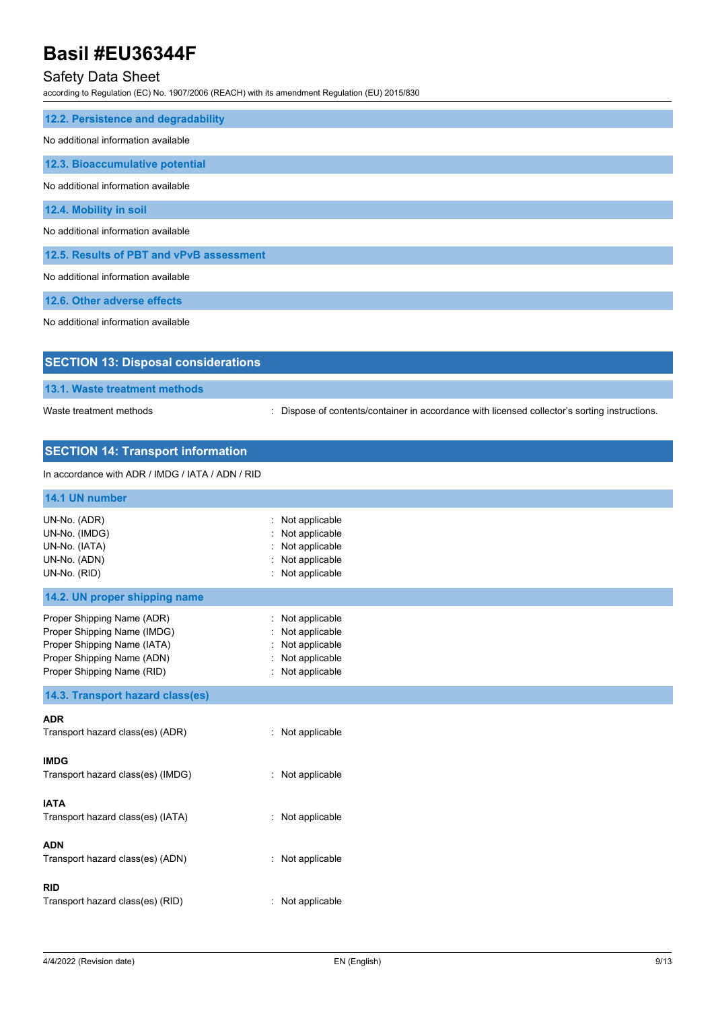## Safety Data Sheet

according to Regulation (EC) No. 1907/2006 (REACH) with its amendment Regulation (EU) 2015/830

| 12.2. Persistence and degradability      |
|------------------------------------------|
| No additional information available      |
|                                          |
| 12.3. Bioaccumulative potential          |
|                                          |
| No additional information available      |
|                                          |
| 12.4. Mobility in soil                   |
| No additional information available      |
|                                          |
| 12.5. Results of PBT and vPvB assessment |
|                                          |
| No additional information available      |
|                                          |
| 12.6. Other adverse effects              |
|                                          |
| No additional information available      |

| <b>SECTION 13: Disposal considerations</b> |                                                                                               |
|--------------------------------------------|-----------------------------------------------------------------------------------------------|
| <b>13.1. Waste treatment methods</b>       |                                                                                               |
| Waste treatment methods                    | : Dispose of contents/container in accordance with licensed collector's sorting instructions. |
| <b>SECTION 14: Transport information</b>   |                                                                                               |

#### In accordance with ADR / IMDG / IATA / ADN / RID

| 14.1 UN number                                                                                                                                       |                                                                                              |
|------------------------------------------------------------------------------------------------------------------------------------------------------|----------------------------------------------------------------------------------------------|
| UN-No. (ADR)<br>UN-No. (IMDG)<br>UN-No. (IATA)<br>UN-No. (ADN)<br>UN-No. (RID)                                                                       | Not applicable<br>÷.<br>Not applicable<br>Not applicable<br>Not applicable<br>Not applicable |
| 14.2. UN proper shipping name                                                                                                                        |                                                                                              |
| Proper Shipping Name (ADR)<br>Proper Shipping Name (IMDG)<br>Proper Shipping Name (IATA)<br>Proper Shipping Name (ADN)<br>Proper Shipping Name (RID) | : Not applicable<br>Not applicable<br>: Not applicable<br>Not applicable<br>: Not applicable |
| 14.3. Transport hazard class(es)                                                                                                                     |                                                                                              |
| <b>ADR</b><br>Transport hazard class(es) (ADR)                                                                                                       | : Not applicable                                                                             |
| <b>IMDG</b><br>Transport hazard class(es) (IMDG)                                                                                                     | : Not applicable                                                                             |
| <b>IATA</b><br>Transport hazard class(es) (IATA)                                                                                                     | : Not applicable                                                                             |
| <b>ADN</b><br>Transport hazard class(es) (ADN)                                                                                                       | : Not applicable                                                                             |
| <b>RID</b><br>Transport hazard class(es) (RID)                                                                                                       | : Not applicable                                                                             |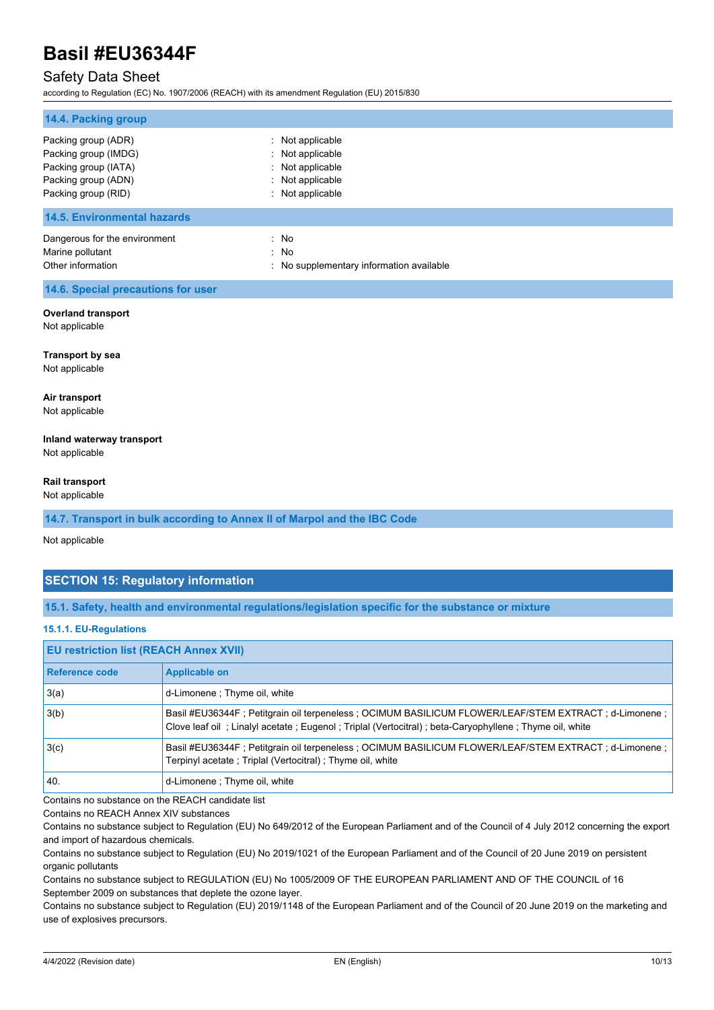## Safety Data Sheet

according to Regulation (EC) No. 1907/2006 (REACH) with its amendment Regulation (EU) 2015/830

| 14.4. Packing group                                                                                               |                                                                                          |
|-------------------------------------------------------------------------------------------------------------------|------------------------------------------------------------------------------------------|
| Packing group (ADR)<br>Packing group (IMDG)<br>Packing group (IATA)<br>Packing group (ADN)<br>Packing group (RID) | Not applicable<br>Not applicable<br>Not applicable<br>Not applicable<br>: Not applicable |
| <b>14.5. Environmental hazards</b>                                                                                |                                                                                          |
| Dangerous for the environment<br>Marine pollutant<br>Other information                                            | : No<br>: No<br>: No supplementary information available                                 |
| 14.6. Special precautions for user                                                                                |                                                                                          |
| <b>Overland transport</b><br>Not applicable                                                                       |                                                                                          |
| <b>Transport by sea</b><br>Not applicable                                                                         |                                                                                          |
| Air transport<br>Not applicable                                                                                   |                                                                                          |
| Inland waterway transport<br>Not applicable                                                                       |                                                                                          |
| Rail transport<br>Not applicable                                                                                  |                                                                                          |
| 14.7. Transport in bulk according to Annex II of Marpol and the IBC Code                                          |                                                                                          |
| Not applicable                                                                                                    |                                                                                          |
| <b>SECTION 15: Regulatory information</b>                                                                         |                                                                                          |

**15.1. Safety, health and environmental regulations/legislation specific for the substance or mixture**

#### **15.1.1. EU-Regulations**

| <b>EU restriction list (REACH Annex XVII)</b> |                                                                                                                                                                                                              |  |
|-----------------------------------------------|--------------------------------------------------------------------------------------------------------------------------------------------------------------------------------------------------------------|--|
| Reference code                                | <b>Applicable on</b>                                                                                                                                                                                         |  |
| 3(a)                                          | d-Limonene; Thyme oil, white                                                                                                                                                                                 |  |
| 3(b)                                          | Basil #EU36344F; Petitgrain oil terpeneless; OCIMUM BASILICUM FLOWER/LEAF/STEM EXTRACT; d-Limonene;<br>Clove leaf oil; Linalyl acetate; Eugenol; Triplal (Vertocitral); beta-Caryophyllene; Thyme oil, white |  |
| 3(c)                                          | Basil #EU36344F; Petitgrain oil terpeneless; OCIMUM BASILICUM FLOWER/LEAF/STEM EXTRACT; d-Limonene;<br>Terpinyl acetate ; Triplal (Vertocitral) ; Thyme oil, white                                           |  |
| 40.                                           | d-Limonene ; Thyme oil, white                                                                                                                                                                                |  |

Contains no substance on the REACH candidate list

Contains no REACH Annex XIV substances

Contains no substance subject to Regulation (EU) No 649/2012 of the European Parliament and of the Council of 4 July 2012 concerning the export and import of hazardous chemicals.

Contains no substance subject to Regulation (EU) No 2019/1021 of the European Parliament and of the Council of 20 June 2019 on persistent organic pollutants

Contains no substance subject to REGULATION (EU) No 1005/2009 OF THE EUROPEAN PARLIAMENT AND OF THE COUNCIL of 16 September 2009 on substances that deplete the ozone layer.

Contains no substance subject to Regulation (EU) 2019/1148 of the European Parliament and of the Council of 20 June 2019 on the marketing and use of explosives precursors.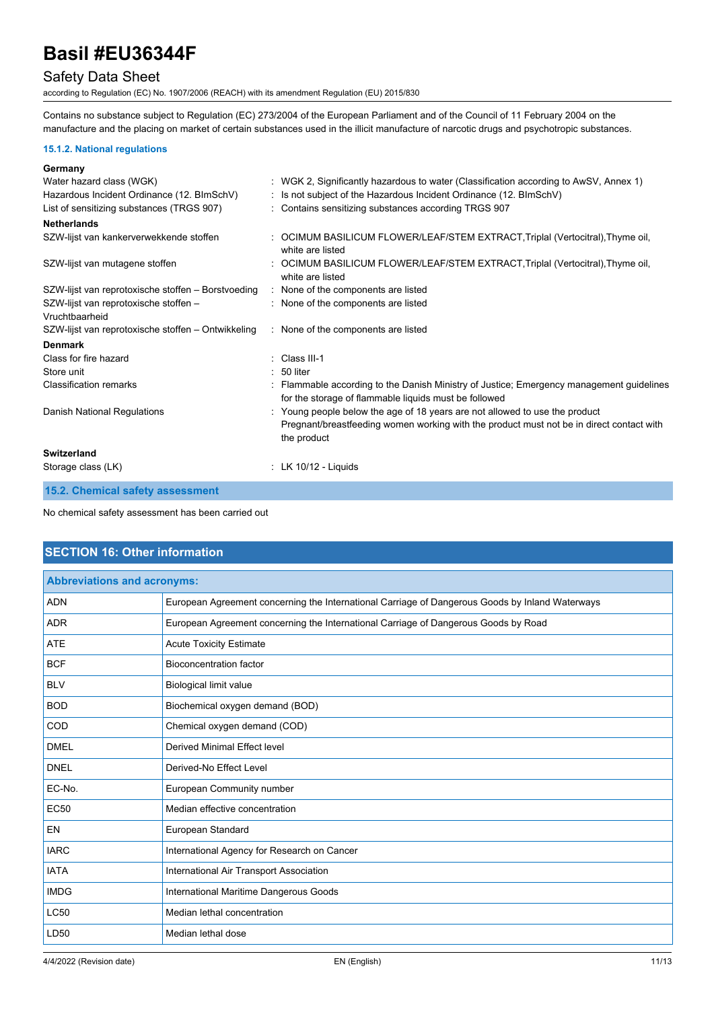## Safety Data Sheet

according to Regulation (EC) No. 1907/2006 (REACH) with its amendment Regulation (EU) 2015/830

Contains no substance subject to Regulation (EC) 273/2004 of the European Parliament and of the Council of 11 February 2004 on the manufacture and the placing on market of certain substances used in the illicit manufacture of narcotic drugs and psychotropic substances.

#### **15.1.2. National regulations**

| Germany                                                 |                                                                                                                                                                                        |
|---------------------------------------------------------|----------------------------------------------------------------------------------------------------------------------------------------------------------------------------------------|
| Water hazard class (WGK)                                | : WGK 2, Significantly hazardous to water (Classification according to AwSV, Annex 1)                                                                                                  |
| Hazardous Incident Ordinance (12. BImSchV)              | Is not subject of the Hazardous Incident Ordinance (12. BImSchV)                                                                                                                       |
| List of sensitizing substances (TRGS 907)               | : Contains sensitizing substances according TRGS 907                                                                                                                                   |
| <b>Netherlands</b>                                      |                                                                                                                                                                                        |
| SZW-lijst van kankerverwekkende stoffen                 | : OCIMUM BASILICUM FLOWER/LEAF/STEM EXTRACT, Triplal (Vertocitral), Thyme oil,<br>white are listed                                                                                     |
| SZW-lijst van mutagene stoffen                          | OCIMUM BASILICUM FLOWER/LEAF/STEM EXTRACT, Triplal (Vertocitral), Thyme oil,<br>white are listed                                                                                       |
| SZW-lijst van reprotoxische stoffen - Borstvoeding      | : None of the components are listed                                                                                                                                                    |
| SZW-lijst van reprotoxische stoffen -<br>Vruchtbaarheid | : None of the components are listed                                                                                                                                                    |
| SZW-lijst van reprotoxische stoffen – Ontwikkeling      | : None of the components are listed                                                                                                                                                    |
| <b>Denmark</b>                                          |                                                                                                                                                                                        |
| Class for fire hazard                                   | Class III-1                                                                                                                                                                            |
| Store unit                                              | 50 liter                                                                                                                                                                               |
| <b>Classification remarks</b>                           | Flammable according to the Danish Ministry of Justice; Emergency management guidelines<br>for the storage of flammable liquids must be followed                                        |
| Danish National Regulations                             | : Young people below the age of 18 years are not allowed to use the product<br>Pregnant/breastfeeding women working with the product must not be in direct contact with<br>the product |
| Switzerland                                             |                                                                                                                                                                                        |
| Storage class (LK)                                      | : LK $10/12$ - Liquids                                                                                                                                                                 |
| 15.2. Chemical safety assessment                        |                                                                                                                                                                                        |

No chemical safety assessment has been carried out

## **SECTION 16: Other information**

| <b>Abbreviations and acronyms:</b> |                                                                                                 |  |
|------------------------------------|-------------------------------------------------------------------------------------------------|--|
| <b>ADN</b>                         | European Agreement concerning the International Carriage of Dangerous Goods by Inland Waterways |  |
| <b>ADR</b>                         | European Agreement concerning the International Carriage of Dangerous Goods by Road             |  |
| <b>ATE</b>                         | <b>Acute Toxicity Estimate</b>                                                                  |  |
| <b>BCF</b>                         | <b>Bioconcentration factor</b>                                                                  |  |
| <b>BLV</b>                         | <b>Biological limit value</b>                                                                   |  |
| <b>BOD</b>                         | Biochemical oxygen demand (BOD)                                                                 |  |
| COD                                | Chemical oxygen demand (COD)                                                                    |  |
| <b>DMEL</b>                        | <b>Derived Minimal Effect level</b>                                                             |  |
| <b>DNEL</b>                        | Derived-No Effect Level                                                                         |  |
| EC-No.                             | European Community number                                                                       |  |
| <b>EC50</b>                        | Median effective concentration                                                                  |  |
| <b>EN</b>                          | European Standard                                                                               |  |
| <b>IARC</b>                        | International Agency for Research on Cancer                                                     |  |
| <b>IATA</b>                        | International Air Transport Association                                                         |  |
| <b>IMDG</b>                        | International Maritime Dangerous Goods                                                          |  |
| <b>LC50</b>                        | Median lethal concentration                                                                     |  |
| LD50                               | Median lethal dose                                                                              |  |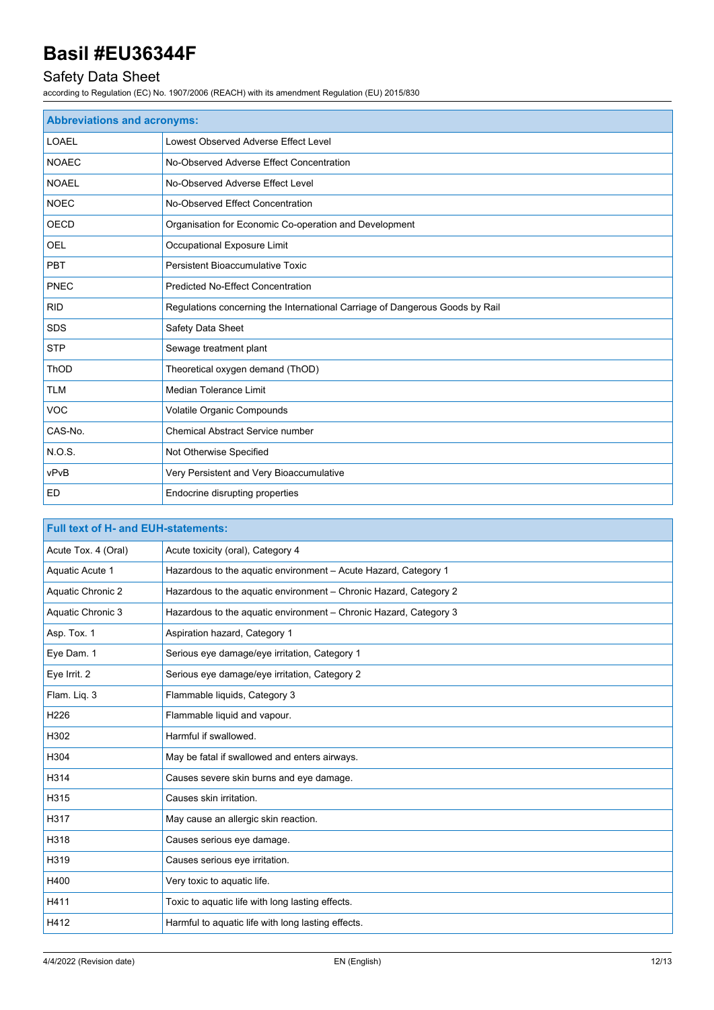## Safety Data Sheet

according to Regulation (EC) No. 1907/2006 (REACH) with its amendment Regulation (EU) 2015/830

| <b>Abbreviations and acronyms:</b>       |                                                                              |  |
|------------------------------------------|------------------------------------------------------------------------------|--|
| <b>LOAEL</b>                             | Lowest Observed Adverse Effect Level                                         |  |
| <b>NOAEC</b>                             | No-Observed Adverse Effect Concentration                                     |  |
| <b>NOAEL</b>                             | No-Observed Adverse Effect Level                                             |  |
| <b>NOEC</b>                              | No-Observed Effect Concentration                                             |  |
| <b>OECD</b>                              | Organisation for Economic Co-operation and Development                       |  |
| <b>OEL</b>                               | Occupational Exposure Limit                                                  |  |
| <b>PBT</b>                               | <b>Persistent Bioaccumulative Toxic</b>                                      |  |
| PNEC                                     | <b>Predicted No-Effect Concentration</b>                                     |  |
| <b>RID</b>                               | Regulations concerning the International Carriage of Dangerous Goods by Rail |  |
| <b>SDS</b>                               | Safety Data Sheet                                                            |  |
| <b>STP</b>                               | Sewage treatment plant                                                       |  |
| ThOD<br>Theoretical oxygen demand (ThOD) |                                                                              |  |
| <b>TLM</b><br>Median Tolerance Limit     |                                                                              |  |
| <b>VOC</b>                               | Volatile Organic Compounds                                                   |  |
| CAS-No.                                  | <b>Chemical Abstract Service number</b>                                      |  |
| N.O.S.                                   | Not Otherwise Specified                                                      |  |
| vPvB                                     | Very Persistent and Very Bioaccumulative                                     |  |
| <b>ED</b>                                | Endocrine disrupting properties                                              |  |

| <b>Full text of H- and EUH-statements:</b> |                                                                   |
|--------------------------------------------|-------------------------------------------------------------------|
| Acute Tox. 4 (Oral)                        | Acute toxicity (oral), Category 4                                 |
| Aquatic Acute 1                            | Hazardous to the aquatic environment - Acute Hazard, Category 1   |
| Aquatic Chronic 2                          | Hazardous to the aquatic environment - Chronic Hazard, Category 2 |
| Aquatic Chronic 3                          | Hazardous to the aquatic environment - Chronic Hazard, Category 3 |
| Asp. Tox. 1                                | Aspiration hazard, Category 1                                     |
| Eye Dam. 1                                 | Serious eye damage/eye irritation, Category 1                     |
| Eye Irrit. 2                               | Serious eye damage/eye irritation, Category 2                     |
| Flam. Liq. 3                               | Flammable liquids, Category 3                                     |
| H226                                       | Flammable liquid and vapour.                                      |
| H302                                       | Harmful if swallowed.                                             |
| H304                                       | May be fatal if swallowed and enters airways.                     |
| H314                                       | Causes severe skin burns and eye damage.                          |
| H315                                       | Causes skin irritation.                                           |
| H317                                       | May cause an allergic skin reaction.                              |
| H318                                       | Causes serious eye damage.                                        |
| H319                                       | Causes serious eye irritation.                                    |
| H400                                       | Very toxic to aquatic life.                                       |
| H411                                       | Toxic to aquatic life with long lasting effects.                  |
| H412                                       | Harmful to aquatic life with long lasting effects.                |